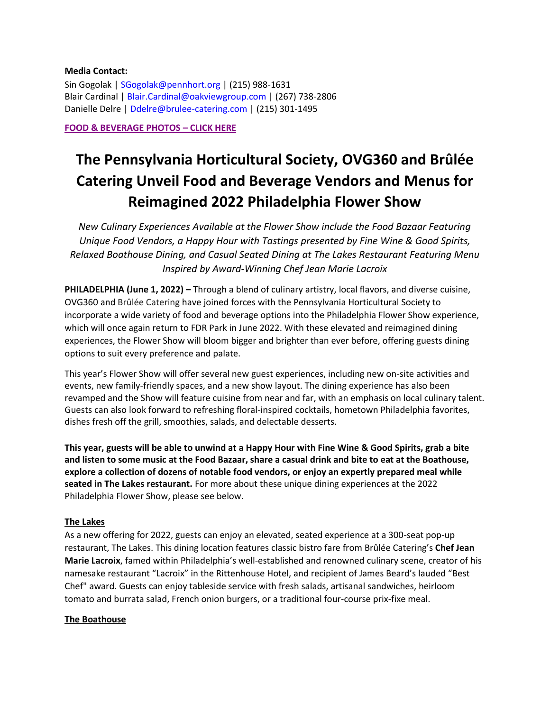#### **Media Contact:**

Sin Gogolak | SGogolak@pennhort.org | (215) 988-1631 Blair Cardinal | Blair.Cardinal@oakviewgroup.com | (267) 738-2806 Danielle Delre | Ddelre@brulee-catering.com | (215) 301-1495

#### **[FOOD & BEVERAGE PHOTOS](https://pennhort.sharefile.com/d-s6eac723405bd43ed973ddf12dacfd750) – CLICK HERE**

# **The Pennsylvania Horticultural Society, OVG360 and Brûlée Catering Unveil Food and Beverage Vendors and Menus for Reimagined 2022 Philadelphia Flower Show**

*New Culinary Experiences Available at the Flower Show include the Food Bazaar Featuring Unique Food Vendors, a Happy Hour with Tastings presented by Fine Wine & Good Spirits, Relaxed Boathouse Dining, and Casual Seated Dining at The Lakes Restaurant Featuring Menu Inspired by Award-Winning Chef Jean Marie Lacroix* 

**PHILADELPHIA (June 1, 2022) –** Through a blend of culinary artistry, local flavors, and diverse cuisine, OVG360 and Brûlée Catering have joined forces with the Pennsylvania Horticultural Society to incorporate a wide variety of food and beverage options into the Philadelphia Flower Show experience, which will once again return to FDR Park in June 2022. With these elevated and reimagined dining experiences, the Flower Show will bloom bigger and brighter than ever before, offering guests dining options to suit every preference and palate.

This year's Flower Show will offer several new guest experiences, including new on-site activities and events, new family-friendly spaces, and a new show layout. The dining experience has also been revamped and the Show will feature cuisine from near and far, with an emphasis on local culinary talent. Guests can also look forward to refreshing floral-inspired cocktails, hometown Philadelphia favorites, dishes fresh off the grill, smoothies, salads, and delectable desserts.

**This year, guests will be able to unwind at a Happy Hour with Fine Wine & Good Spirits, grab a bite and listen to some music at the Food Bazaar, share a casual drink and bite to eat at the Boathouse, explore a collection of dozens of notable food vendors, or enjoy an expertly prepared meal while seated in The Lakes restaurant.** For more about these unique dining experiences at the 2022 Philadelphia Flower Show, please see below.

#### **The Lakes**

As a new offering for 2022, guests can enjoy an elevated, seated experience at a 300-seat pop-up restaurant, The Lakes. This dining location features classic bistro fare from Brûlée Catering's **Chef Jean Marie Lacroix**, famed within Philadelphia's well-established and renowned culinary scene, creator of his namesake restaurant "Lacroix" in the Rittenhouse Hotel, and recipient of James Beard's lauded "Best Chef" award. Guests can enjoy tableside service with fresh salads, artisanal sandwiches, heirloom tomato and burrata salad, French onion burgers, or a traditional four-course prix-fixe meal.

#### **The Boathouse**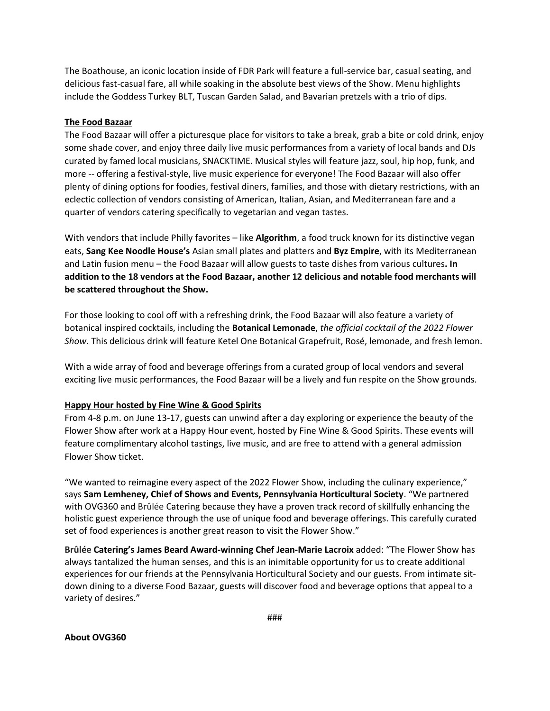The Boathouse, an iconic location inside of FDR Park will feature a full-service bar, casual seating, and delicious fast-casual fare, all while soaking in the absolute best views of the Show. Menu highlights include the Goddess Turkey BLT, Tuscan Garden Salad, and Bavarian pretzels with a trio of dips.

### **The Food Bazaar**

The Food Bazaar will offer a picturesque place for visitors to take a break, grab a bite or cold drink, enjoy some shade cover, and enjoy three daily live music performances from a variety of local bands and DJs curated by famed local musicians, SNACKTIME. Musical styles will feature jazz, soul, hip hop, funk, and more -- offering a festival-style, live music experience for everyone! The Food Bazaar will also offer plenty of dining options for foodies, festival diners, families, and those with dietary restrictions, with an eclectic collection of vendors consisting of American, Italian, Asian, and Mediterranean fare and a quarter of vendors catering specifically to vegetarian and vegan tastes.

With vendors that include Philly favorites – like **Algorithm**, a food truck known for its distinctive vegan eats, **Sang Kee Noodle House's** Asian small plates and platters and **Byz Empire**, with its Mediterranean and Latin fusion menu – the Food Bazaar will allow guests to taste dishes from various cultures**. In addition to the 18 vendors at the Food Bazaar, another 12 delicious and notable food merchants will be scattered throughout the Show.**

For those looking to cool off with a refreshing drink, the Food Bazaar will also feature a variety of botanical inspired cocktails, including the **Botanical Lemonade**, *the official cocktail of the 2022 Flower Show.* This delicious drink will feature Ketel One Botanical Grapefruit, Rosé, lemonade, and fresh lemon.

With a wide array of food and beverage offerings from a curated group of local vendors and several exciting live music performances, the Food Bazaar will be a lively and fun respite on the Show grounds.

#### **Happy Hour hosted by Fine Wine & Good Spirits**

From 4-8 p.m. on June 13-17, guests can unwind after a day exploring or experience the beauty of the Flower Show after work at a Happy Hour event, hosted by Fine Wine & Good Spirits. These events will feature complimentary alcohol tastings, live music, and are free to attend with a general admission Flower Show ticket.

"We wanted to reimagine every aspect of the 2022 Flower Show, including the culinary experience," says **Sam Lemheney, Chief of Shows and Events, Pennsylvania Horticultural Society**. "We partnered with OVG360 and Brûlée Catering because they have a proven track record of skillfully enhancing the holistic guest experience through the use of unique food and beverage offerings. This carefully curated set of food experiences is another great reason to visit the Flower Show."

**Brûlée Catering's James Beard Award-winning Chef Jean-Marie Lacroix** added: "The Flower Show has always tantalized the human senses, and this is an inimitable opportunity for us to create additional experiences for our friends at the Pennsylvania Horticultural Society and our guests. From intimate sitdown dining to a diverse Food Bazaar, guests will discover food and beverage options that appeal to a variety of desires."

**About OVG360**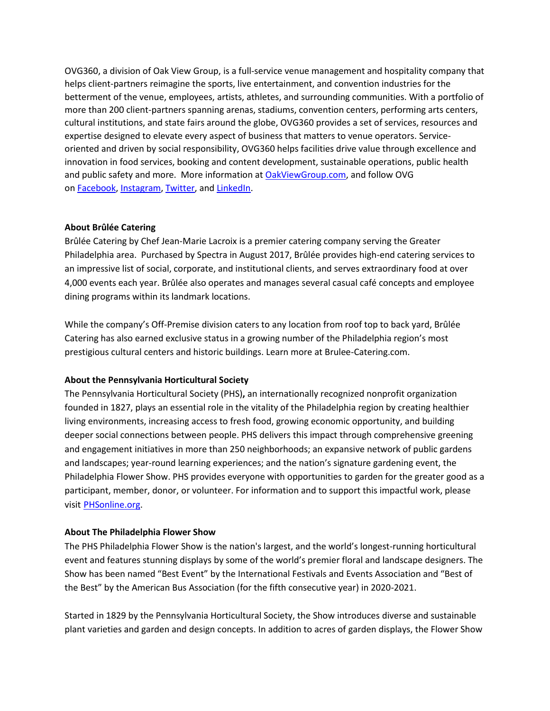OVG360, a division of Oak View Group, is a full-service venue management and hospitality company that helps client-partners reimagine the sports, live entertainment, and convention industries for the betterment of the venue, employees, artists, athletes, and surrounding communities. With a portfolio of more than 200 client-partners spanning arenas, stadiums, convention centers, performing arts centers, cultural institutions, and state fairs around the globe, OVG360 provides a set of services, resources and expertise designed to elevate every aspect of business that matters to venue operators. Serviceoriented and driven by social responsibility, OVG360 helps facilities drive value through excellence and innovation in food services, booking and content development, sustainable operations, public health and public safety and more. More information at [OakViewGroup.com,](https://nam02.safelinks.protection.outlook.com/?url=https%3A%2F%2Furl.avanan.click%2Fv2%2F___http%3A%2Fwww.oakviewgroup.com%2F___.YXAzOm9ha3ZpZXdncm91cDphOm86NDdmYTQ0OTliNDZmOTkzNGNhNDAzYzZjODJjYjhlMTc6NToyMzhiOjI0MmZhZmMzYmE2M2IxNDBkYTg4OGU0NzI0Y2I5NTI1OWI2ODg3ZGVjOTQ1ZmIzMTM4MDA5ODJmNDMzMjVmNWI6aDpO&data=04%7C01%7CBlair.Cardinal%40spectraxp.com%7Cf155b0181a9e479b481408da08110953%7C3819dfbab7e44fb299aa53ca91480577%7C0%7C0%7C637831166538054144%7CUnknown%7CTWFpbGZsb3d8eyJWIjoiMC4wLjAwMDAiLCJQIjoiV2luMzIiLCJBTiI6Ik1haWwiLCJXVCI6Mn0%3D%7C3000&sdata=4mcFxxG%2FPqbiLJF2s%2Bhdxf5Vx%2BOEG7QFZI%2BirCrcZxo%3D&reserved=0) and follow OVG on [Facebook](https://nam02.safelinks.protection.outlook.com/?url=https%3A%2F%2Furl.avanan.click%2Fv2%2F___https%3A%2Fymlptr3.net%2F714b5mwsjsjadaewjubazauqbaoayeess%2Fclick.php___.YXAzOm9ha3ZpZXdncm91cDphOm86MzgxMjJmNDM1YTY0ZTg3YWM0MzgzZTU0YWU1YzYyZjg6NTphMzQ3OjgxYzRiODgwMjVkZTQ4MjdjNzFhMTZhNTJjNTA5ZWIyNzMwOTBjOTIxYTg4OTQ2OThjOWJiMTlmOTE1MjNiZGU6aDpO&data=04%7C01%7CBlair.Cardinal%40spectraxp.com%7Cf155b0181a9e479b481408da08110953%7C3819dfbab7e44fb299aa53ca91480577%7C0%7C0%7C637831166538054144%7CUnknown%7CTWFpbGZsb3d8eyJWIjoiMC4wLjAwMDAiLCJQIjoiV2luMzIiLCJBTiI6Ik1haWwiLCJXVCI6Mn0%3D%7C3000&sdata=CVSWkZhwlfn6JSr9RZonK0d%2BbpAHTRa6k84T4RBR2%2Fs%3D&reserved=0), [Instagram](https://nam02.safelinks.protection.outlook.com/?url=https%3A%2F%2Furl.avanan.click%2Fv2%2F___https%3A%2Fwww.instagram.com%2Foakviewgroup%2F%3Futm_medium%3Dcopy_link___.YXAzOm9ha3ZpZXdncm91cDphOm86NDdmYTQ0OTliNDZmOTkzNGNhNDAzYzZjODJjYjhlMTc6NTozNzdiOjBkMzdhN2I4MTFkMWM2ZjE4ZDNmOTJkMTFlMjBiYjQ3NTRhYzI1NTYzMTJlMTRkNDExZmU5ZjhiNzNjYTBjMzU6aDpO&data=04%7C01%7CBlair.Cardinal%40spectraxp.com%7Cf155b0181a9e479b481408da08110953%7C3819dfbab7e44fb299aa53ca91480577%7C0%7C0%7C637831166538054144%7CUnknown%7CTWFpbGZsb3d8eyJWIjoiMC4wLjAwMDAiLCJQIjoiV2luMzIiLCJBTiI6Ik1haWwiLCJXVCI6Mn0%3D%7C3000&sdata=K0vCCF1XJef2vEg3XGTkHqZZApzEz9nBo98hHOpmr1w%3D&reserved=0), [Twitter](https://nam02.safelinks.protection.outlook.com/?url=https%3A%2F%2Furl.avanan.click%2Fv2%2F___https%3A%2Fymlptr3.net%2F53efamwsjshataewjubafauqbacayeess%2Fclick.php___.YXAzOm9ha3ZpZXdncm91cDphOm86MzgxMjJmNDM1YTY0ZTg3YWM0MzgzZTU0YWU1YzYyZjg6NTo3ZTQ3OmZiYTg5MmMyZTdiMzEwZDY4NWRlYjE1NzlmMzczMGNlNzlhYTdmMGJhMWRkMTg3MDA0ZDUxOThiYTE3OTY3MzQ6aDpO&data=04%7C01%7CBlair.Cardinal%40spectraxp.com%7Cf155b0181a9e479b481408da08110953%7C3819dfbab7e44fb299aa53ca91480577%7C0%7C0%7C637831166538054144%7CUnknown%7CTWFpbGZsb3d8eyJWIjoiMC4wLjAwMDAiLCJQIjoiV2luMzIiLCJBTiI6Ik1haWwiLCJXVCI6Mn0%3D%7C3000&sdata=rDANjVTRD05uLAwBeAantc2GdCDvPg1wQ4WGKIUSVxg%3D&reserved=0), and [LinkedIn.](https://nam02.safelinks.protection.outlook.com/?url=https%3A%2F%2Furl.avanan.click%2Fv2%2F___https%3A%2Fymlptr3.net%2F6e595mwsjswalaewjubakauqbanayeess%2Fclick.php___.YXAzOm9ha3ZpZXdncm91cDphOm86MzgxMjJmNDM1YTY0ZTg3YWM0MzgzZTU0YWU1YzYyZjg6NTpmYTMzOjhjYTYxNGVlNWI5YWFhMGZhMjBiZjQ5MjJmNmY0Zjg2N2QzZjdhOTM1MWFkNzhmYTcyMzZkOGZmN2NhMDg5ODU6aDpO&data=04%7C01%7CBlair.Cardinal%40spectraxp.com%7Cf155b0181a9e479b481408da08110953%7C3819dfbab7e44fb299aa53ca91480577%7C0%7C0%7C637831166538054144%7CUnknown%7CTWFpbGZsb3d8eyJWIjoiMC4wLjAwMDAiLCJQIjoiV2luMzIiLCJBTiI6Ik1haWwiLCJXVCI6Mn0%3D%7C3000&sdata=zWIz6XOuiqbh%2FN3%2BVguvyzuW%2FN9d%2BqUjh7EjiS7Y1fQ%3D&reserved=0)

## **About Brûlée Catering**

Brûlée Catering by Chef Jean-Marie Lacroix is a premier catering company serving the Greater Philadelphia area. Purchased by Spectra in August 2017, Brûlée provides high-end catering services to an impressive list of social, corporate, and institutional clients, and serves extraordinary food at over 4,000 events each year. Brûlée also operates and manages several casual café concepts and employee dining programs within its landmark locations.

While the company's Off-Premise division caters to any location from roof top to back yard, Brûlée Catering has also earned exclusive status in a growing number of the Philadelphia region's most prestigious cultural centers and historic buildings. Learn more at Brulee-Catering.com.

# **About the Pennsylvania Horticultural Society**

The Pennsylvania Horticultural Society (PHS)**,** an internationally recognized nonprofit organization founded in 1827, plays an essential role in the vitality of the Philadelphia region by creating healthier living environments, increasing access to fresh food, growing economic opportunity, and building deeper social connections between people. PHS delivers this impact through comprehensive greening and engagement initiatives in more than 250 neighborhoods; an expansive network of public gardens and landscapes; year-round learning experiences; and the nation's signature gardening event, the Philadelphia Flower Show. PHS provides everyone with opportunities to garden for the greater good as a participant, member, donor, or volunteer. For information and to support this impactful work, please visi[t](http://www.phsonline.org/) [PHSonline.org.](http://www.phsonline.org/)

#### **About The Philadelphia Flower Show**

The PHS Philadelphia Flower Show is the nation's largest, and the world's longest-running horticultural event and features stunning displays by some of the world's premier floral and landscape designers. The Show has been named "Best Event" by the International Festivals and Events Association and "Best of the Best" by the American Bus Association (for the fifth consecutive year) in 2020-2021.

Started in 1829 by the Pennsylvania Horticultural Society, the Show introduces diverse and sustainable plant varieties and garden and design concepts. In addition to acres of garden displays, the Flower Show